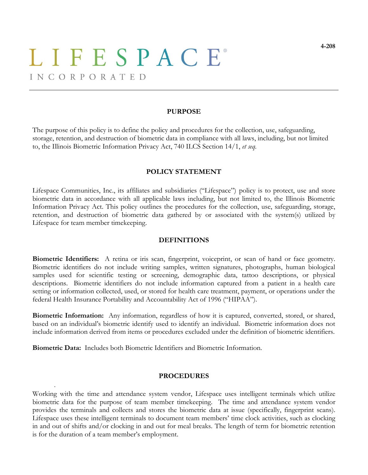# LIFESPACE® INCORPORATED

#### **PURPOSE**

The purpose of this policy is to define the policy and procedures for the collection, use, safeguarding, storage, retention, and destruction of biometric data in compliance with all laws, including, but not limited to, the Illinois Biometric Information Privacy Act, 740 ILCS Section 14/1, *et seq*.

### **POLICY STATEMENT**

Lifespace Communities, Inc., its affiliates and subsidiaries ("Lifespace") policy is to protect, use and store biometric data in accordance with all applicable laws including, but not limited to, the Illinois Biometric Information Privacy Act. This policy outlines the procedures for the collection, use, safeguarding, storage, retention, and destruction of biometric data gathered by or associated with the system(s) utilized by Lifespace for team member timekeeping.

### **DEFINITIONS**

**Biometric Identifiers:** A retina or iris scan, fingerprint, voiceprint, or scan of hand or face geometry. Biometric identifiers do not include writing samples, written signatures, photographs, human biological samples used for scientific testing or screening, demographic data, tattoo descriptions, or physical descriptions. Biometric identifiers do not include information captured from a patient in a health care setting or information collected, used, or stored for health care treatment, payment, or operations under the federal Health Insurance Portability and Accountability Act of 1996 ("HIPAA").

**Biometric Information:** Any information, regardless of how it is captured, converted, stored, or shared, based on an individual's biometric identify used to identify an individual. Biometric information does not include information derived from items or procedures excluded under the definition of biometric identifiers.

**Biometric Data:** Includes both Biometric Identifiers and Biometric Information.

.

#### **PROCEDURES**

Working with the time and attendance system vendor, Lifespace uses intelligent terminals which utilize biometric data for the purpose of team member timekeeping. The time and attendance system vendor provides the terminals and collects and stores the biometric data at issue (specifically, fingerprint scans). Lifespace uses these intelligent terminals to document team members' time clock activities, such as clocking in and out of shifts and/or clocking in and out for meal breaks. The length of term for biometric retention is for the duration of a team member's employment.